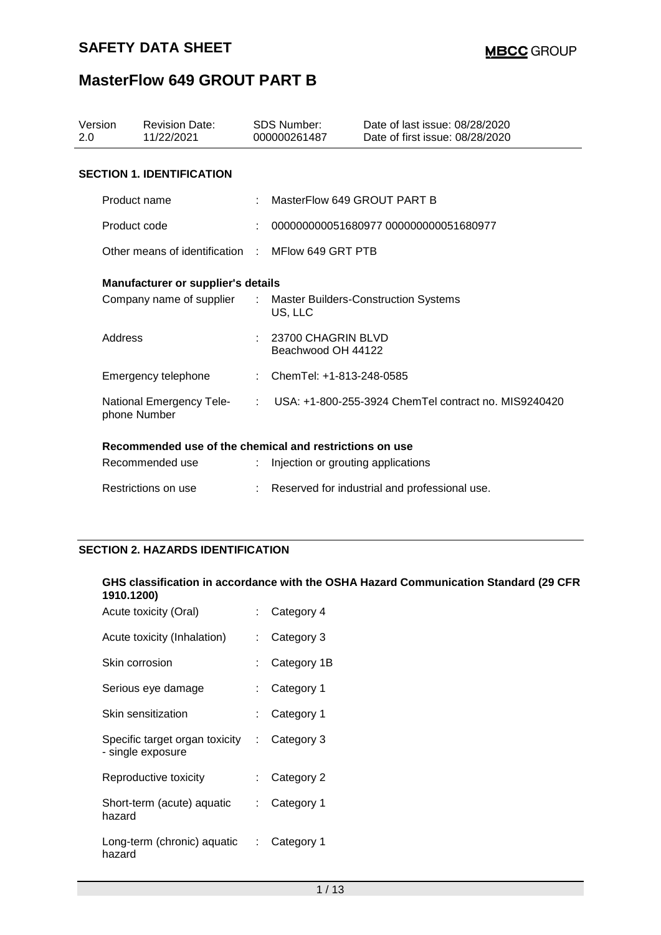| Version<br>2.0 |              | <b>Revision Date:</b><br>11/22/2021                             | <b>SDS Number:</b><br>000000261487       | Date of last issue: 08/28/2020<br>Date of first issue: 08/28/2020 |
|----------------|--------------|-----------------------------------------------------------------|------------------------------------------|-------------------------------------------------------------------|
|                |              | <b>SECTION 1. IDENTIFICATION</b>                                |                                          |                                                                   |
|                | Product name |                                                                 | MasterFlow 649 GROUT PART B              |                                                                   |
|                | Product code |                                                                 |                                          | 000000000051680977 000000000051680977                             |
|                |              | Other means of identification : MFlow 649 GRT PTB               |                                          |                                                                   |
|                |              | <b>Manufacturer or supplier's details</b>                       |                                          |                                                                   |
|                |              | Company name of supplier : Master Builders-Construction Systems | US, LLC                                  |                                                                   |
|                | Address      |                                                                 | 23700 CHAGRIN BLVD<br>Beachwood OH 44122 |                                                                   |
|                |              | Emergency telephone                                             | : ChemTel: +1-813-248-0585               |                                                                   |
|                |              | National Emergency Tele-<br>phone Number                        |                                          | : USA: +1-800-255-3924 ChemTel contract no. MIS9240420            |
|                |              | Recommended use of the chemical and restrictions on use         |                                          |                                                                   |
|                |              | Recommended use                                                 | Injection or grouting applications       |                                                                   |
|                |              | Restrictions on use                                             |                                          | Reserved for industrial and professional use.                     |

### **SECTION 2. HAZARDS IDENTIFICATION**

#### **GHS classification in accordance with the OSHA Hazard Communication Standard (29 CFR 1910.1200)**

| Acute toxicity (Oral)                               |    | Category 4  |
|-----------------------------------------------------|----|-------------|
| Acute toxicity (Inhalation)                         |    | Category 3  |
| Skin corrosion                                      |    | Category 1B |
| Serious eye damage                                  |    | Category 1  |
| Skin sensitization                                  |    | Category 1  |
| Specific target organ toxicity<br>- single exposure | t. | Category 3  |
| Reproductive toxicity                               |    | Category 2  |
| Short-term (acute) aquatic<br>hazard                | t. | Category 1  |
| Long-term (chronic) aquatic<br>hazard               |    | Category 1  |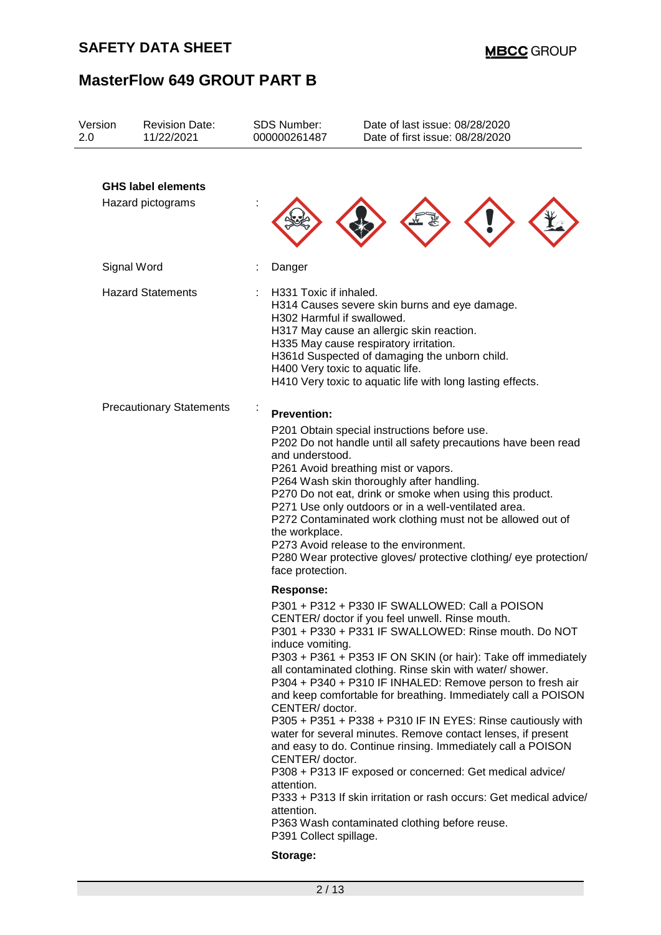| Version<br>2.0 | <b>Revision Date:</b><br>11/22/2021            | <b>SDS Number:</b><br>000000261487                                                                                       | Date of last issue: 08/28/2020<br>Date of first issue: 08/28/2020                                                                                                                                                                                                                                                                                                                                                                                                                                                                                                                                                                                                                                                                                                                                      |
|----------------|------------------------------------------------|--------------------------------------------------------------------------------------------------------------------------|--------------------------------------------------------------------------------------------------------------------------------------------------------------------------------------------------------------------------------------------------------------------------------------------------------------------------------------------------------------------------------------------------------------------------------------------------------------------------------------------------------------------------------------------------------------------------------------------------------------------------------------------------------------------------------------------------------------------------------------------------------------------------------------------------------|
|                | <b>GHS label elements</b><br>Hazard pictograms |                                                                                                                          |                                                                                                                                                                                                                                                                                                                                                                                                                                                                                                                                                                                                                                                                                                                                                                                                        |
|                | Signal Word                                    | Danger                                                                                                                   |                                                                                                                                                                                                                                                                                                                                                                                                                                                                                                                                                                                                                                                                                                                                                                                                        |
|                | <b>Hazard Statements</b>                       | H331 Toxic if inhaled.<br>H302 Harmful if swallowed.                                                                     | H314 Causes severe skin burns and eye damage.<br>H317 May cause an allergic skin reaction.<br>H335 May cause respiratory irritation.<br>H361d Suspected of damaging the unborn child.<br>H400 Very toxic to aquatic life.<br>H410 Very toxic to aquatic life with long lasting effects.                                                                                                                                                                                                                                                                                                                                                                                                                                                                                                                |
|                | <b>Precautionary Statements</b>                | <b>Prevention:</b><br>and understood.<br>the workplace.<br>face protection.<br><b>Response:</b>                          | P201 Obtain special instructions before use.<br>P202 Do not handle until all safety precautions have been read<br>P261 Avoid breathing mist or vapors.<br>P264 Wash skin thoroughly after handling.<br>P270 Do not eat, drink or smoke when using this product.<br>P271 Use only outdoors or in a well-ventilated area.<br>P272 Contaminated work clothing must not be allowed out of<br>P273 Avoid release to the environment.<br>P280 Wear protective gloves/ protective clothing/ eye protection/                                                                                                                                                                                                                                                                                                   |
|                |                                                | induce vomiting.<br>CENTER/ doctor.<br>CENTER/ doctor.<br>attention.<br>attention.<br>P391 Collect spillage.<br>Storage: | P301 + P312 + P330 IF SWALLOWED: Call a POISON<br>CENTER/ doctor if you feel unwell. Rinse mouth.<br>P301 + P330 + P331 IF SWALLOWED: Rinse mouth. Do NOT<br>P303 + P361 + P353 IF ON SKIN (or hair): Take off immediately<br>all contaminated clothing. Rinse skin with water/ shower.<br>P304 + P340 + P310 IF INHALED: Remove person to fresh air<br>and keep comfortable for breathing. Immediately call a POISON<br>P305 + P351 + P338 + P310 IF IN EYES: Rinse cautiously with<br>water for several minutes. Remove contact lenses, if present<br>and easy to do. Continue rinsing. Immediately call a POISON<br>P308 + P313 IF exposed or concerned: Get medical advice/<br>P333 + P313 If skin irritation or rash occurs: Get medical advice/<br>P363 Wash contaminated clothing before reuse. |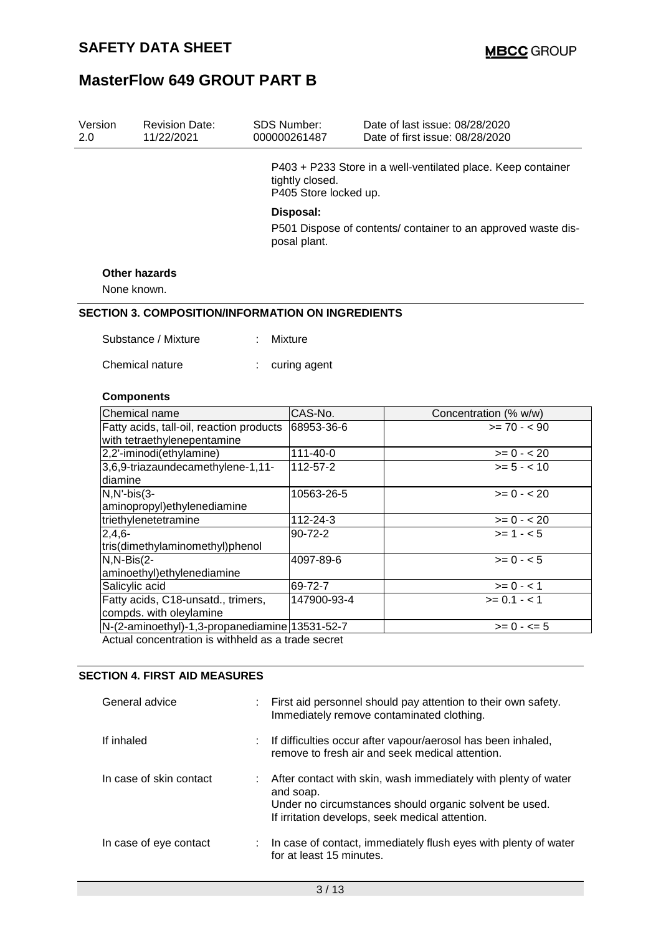| Version<br>2.0 | <b>Revision Date:</b><br>11/22/2021                                     |  | <b>SDS Number:</b><br>000000261487                                                                                                                                                                     | Date of last issue: 08/28/2020<br>Date of first issue: 08/28/2020 |  |  |  |
|----------------|-------------------------------------------------------------------------|--|--------------------------------------------------------------------------------------------------------------------------------------------------------------------------------------------------------|-------------------------------------------------------------------|--|--|--|
|                |                                                                         |  | P403 + P233 Store in a well-ventilated place. Keep container<br>tightly closed.<br>P405 Store locked up.<br>Disposal:<br>P501 Dispose of contents/ container to an approved waste dis-<br>posal plant. |                                                                   |  |  |  |
|                |                                                                         |  |                                                                                                                                                                                                        |                                                                   |  |  |  |
|                | <b>Other hazards</b>                                                    |  |                                                                                                                                                                                                        |                                                                   |  |  |  |
|                | None known.                                                             |  |                                                                                                                                                                                                        |                                                                   |  |  |  |
|                | <b>SECTION 3. COMPOSITION/INFORMATION ON INGREDIENTS</b>                |  |                                                                                                                                                                                                        |                                                                   |  |  |  |
|                |                                                                         |  |                                                                                                                                                                                                        |                                                                   |  |  |  |
|                | Substance / Mixture                                                     |  | <b>Mixture</b>                                                                                                                                                                                         |                                                                   |  |  |  |
|                |                                                                         |  |                                                                                                                                                                                                        |                                                                   |  |  |  |
|                | Chemical nature                                                         |  | curing agent                                                                                                                                                                                           |                                                                   |  |  |  |
|                |                                                                         |  |                                                                                                                                                                                                        |                                                                   |  |  |  |
|                | <b>Components</b>                                                       |  |                                                                                                                                                                                                        |                                                                   |  |  |  |
|                | Chemical name                                                           |  | CAS-No.                                                                                                                                                                                                | Concentration (% w/w)                                             |  |  |  |
|                | Fatty acids, tall-oil, reaction products<br>with tetraethylenepentamine |  | 68953-36-6                                                                                                                                                                                             | $>= 70 - 90$                                                      |  |  |  |
|                | 2,2'-iminodi(ethylamine)                                                |  | 111-40-0                                                                                                                                                                                               | $>= 0 - 20$                                                       |  |  |  |
| diamine        | 3,6,9-triazaundecamethylene-1,11-                                       |  | 112-57-2                                                                                                                                                                                               | $>= 5 - < 10$                                                     |  |  |  |
| $N, N'-bis(3-$ | aminopropyl) ethylenediamine                                            |  | 10563-26-5                                                                                                                                                                                             | $>= 0 - 20$                                                       |  |  |  |
|                | triethylenetetramine                                                    |  | 112-24-3                                                                                                                                                                                               | $>= 0 - 20$                                                       |  |  |  |
| $2,4,6-$       |                                                                         |  | 90-72-2                                                                                                                                                                                                | $>= 1 - 5$                                                        |  |  |  |
|                | tris(dimethylaminomethyl)phenol                                         |  |                                                                                                                                                                                                        |                                                                   |  |  |  |
| $N, N-Bis(2-$  | aminoethyl) ethylenediamine                                             |  | 4097-89-6                                                                                                                                                                                              | $>= 0 - 5$                                                        |  |  |  |
|                | Salicylic acid                                                          |  | 69-72-7                                                                                                                                                                                                | $>= 0 - 1$                                                        |  |  |  |
|                | Fatty acids, C18-unsatd., trimers,<br>compds. with oleylamine           |  | 147900-93-4                                                                                                                                                                                            | $>= 0.1 - 1$                                                      |  |  |  |
|                | N-(2-aminoethyl)-1,3-propanediamine 13531-52-7                          |  |                                                                                                                                                                                                        | $>= 0 - 5$                                                        |  |  |  |
|                | Actual concentration is withhold as a trade secret                      |  |                                                                                                                                                                                                        |                                                                   |  |  |  |

Actual concentration is withheld as a trade secret

## **SECTION 4. FIRST AID MEASURES**

| General advice          | First aid personnel should pay attention to their own safety.<br>Immediately remove contaminated clothing.                                                                               |
|-------------------------|------------------------------------------------------------------------------------------------------------------------------------------------------------------------------------------|
| If inhaled              | If difficulties occur after vapour/aerosol has been inhaled,<br>remove to fresh air and seek medical attention.                                                                          |
| In case of skin contact | After contact with skin, wash immediately with plenty of water<br>and soap.<br>Under no circumstances should organic solvent be used.<br>If irritation develops, seek medical attention. |
| In case of eye contact  | : In case of contact, immediately flush eyes with plenty of water<br>for at least 15 minutes.                                                                                            |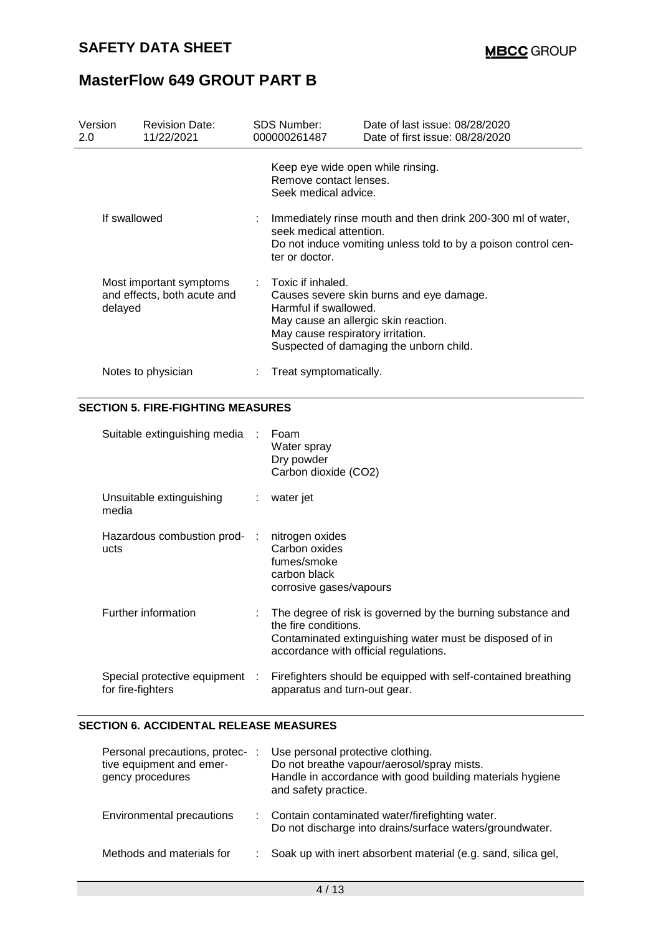| Version<br>2.0                                                    | <b>Revision Date:</b><br>11/22/2021 |                                                                                                                                                                                | SDS Number:<br>000000261487                                                                                                                                                                                          | Date of last issue: 08/28/2020<br>Date of first issue: 08/28/2020 |  |  |
|-------------------------------------------------------------------|-------------------------------------|--------------------------------------------------------------------------------------------------------------------------------------------------------------------------------|----------------------------------------------------------------------------------------------------------------------------------------------------------------------------------------------------------------------|-------------------------------------------------------------------|--|--|
|                                                                   |                                     |                                                                                                                                                                                | Keep eye wide open while rinsing.<br>Remove contact lenses.<br>Seek medical advice.                                                                                                                                  |                                                                   |  |  |
| If swallowed                                                      |                                     | $:$ Immediately rinse mouth and then drink 200-300 ml of water,<br>seek medical attention.<br>Do not induce vomiting unless told to by a poison control cen-<br>ter or doctor. |                                                                                                                                                                                                                      |                                                                   |  |  |
| Most important symptoms<br>and effects, both acute and<br>delayed |                                     |                                                                                                                                                                                | $\pm$ Toxic if inhaled.<br>Causes severe skin burns and eye damage.<br>Harmful if swallowed.<br>May cause an allergic skin reaction.<br>May cause respiratory irritation.<br>Suspected of damaging the unborn child. |                                                                   |  |  |
|                                                                   | Notes to physician                  |                                                                                                                                                                                | Treat symptomatically.                                                                                                                                                                                               |                                                                   |  |  |

## **SECTION 5. FIRE-FIGHTING MEASURES**

| Suitable extinguishing media :                      | Foam<br>Water spray<br>Dry powder<br>Carbon dioxide (CO2)                                                                                                                                 |
|-----------------------------------------------------|-------------------------------------------------------------------------------------------------------------------------------------------------------------------------------------------|
| Unsuitable extinguishing<br>media                   | $:$ water jet                                                                                                                                                                             |
| Hazardous combustion prod- :<br>ucts                | nitrogen oxides<br>Carbon oxides<br>fumes/smoke<br>carbon black<br>corrosive gases/vapours                                                                                                |
| Further information                                 | : The degree of risk is governed by the burning substance and<br>the fire conditions.<br>Contaminated extinguishing water must be disposed of in<br>accordance with official regulations. |
| Special protective equipment :<br>for fire-fighters | Firefighters should be equipped with self-contained breathing<br>apparatus and turn-out gear.                                                                                             |

## **SECTION 6. ACCIDENTAL RELEASE MEASURES**

| Personal precautions, protec-<br>tive equipment and emer-<br>gency procedures | Use personal protective clothing.<br>Do not breathe vapour/aerosol/spray mists.<br>Handle in accordance with good building materials hygiene<br>and safety practice. |
|-------------------------------------------------------------------------------|----------------------------------------------------------------------------------------------------------------------------------------------------------------------|
| Environmental precautions                                                     | : Contain contaminated water/firefighting water.<br>Do not discharge into drains/surface waters/groundwater.                                                         |
| Methods and materials for                                                     | : Soak up with inert absorbent material (e.g. sand, silica gel,                                                                                                      |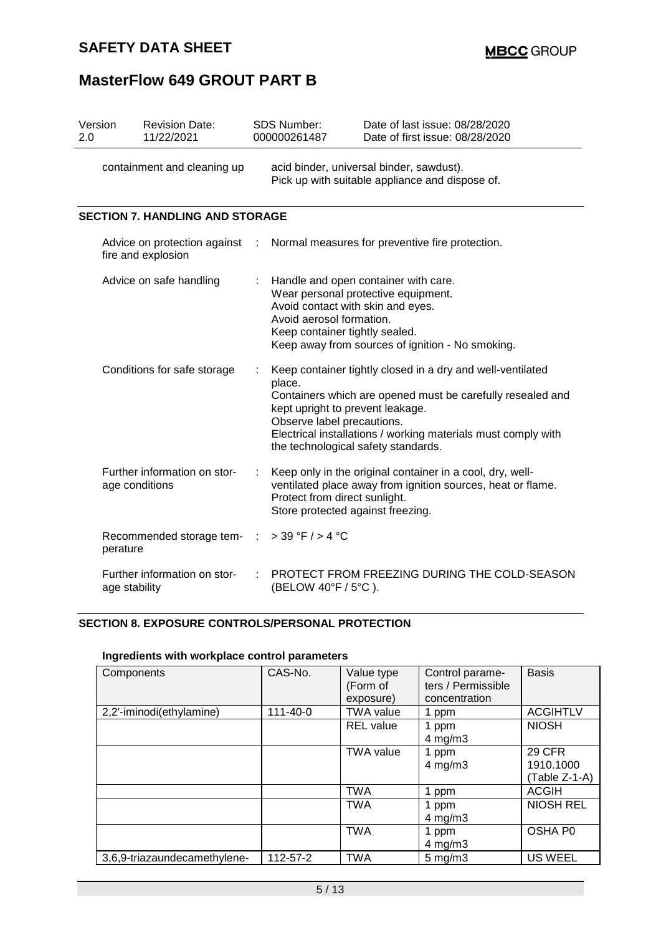## **SAFETY DATA SHEET**

# **MasterFlow 649 GROUT PART B**

| Version<br>2.0 | <b>Revision Date:</b><br>11/22/2021                |   | SDS Number:<br>000000261487                                                                 | Date of last issue: 08/28/2020<br>Date of first issue: 08/28/2020                                                                                                                                                                                                    |  |  |  |  |
|----------------|----------------------------------------------------|---|---------------------------------------------------------------------------------------------|----------------------------------------------------------------------------------------------------------------------------------------------------------------------------------------------------------------------------------------------------------------------|--|--|--|--|
|                | containment and cleaning up                        |   | acid binder, universal binder, sawdust).<br>Pick up with suitable appliance and dispose of. |                                                                                                                                                                                                                                                                      |  |  |  |  |
|                | <b>SECTION 7. HANDLING AND STORAGE</b>             |   |                                                                                             |                                                                                                                                                                                                                                                                      |  |  |  |  |
|                | Advice on protection against<br>fire and explosion | ÷ |                                                                                             | Normal measures for preventive fire protection.                                                                                                                                                                                                                      |  |  |  |  |
|                | Advice on safe handling                            |   | Avoid aerosol formation.                                                                    | Handle and open container with care.<br>Wear personal protective equipment.<br>Avoid contact with skin and eyes.<br>Keep container tightly sealed.<br>Keep away from sources of ignition - No smoking.                                                               |  |  |  |  |
|                | Conditions for safe storage                        |   | place.<br>Observe label precautions.                                                        | Keep container tightly closed in a dry and well-ventilated<br>Containers which are opened must be carefully resealed and<br>kept upright to prevent leakage.<br>Electrical installations / working materials must comply with<br>the technological safety standards. |  |  |  |  |
|                | Further information on stor-<br>age conditions     |   | Protect from direct sunlight.                                                               | Keep only in the original container in a cool, dry, well-<br>ventilated place away from ignition sources, heat or flame.<br>Store protected against freezing.                                                                                                        |  |  |  |  |
|                | Recommended storage tem-<br>perature               |   | $>$ 39 °F / $>$ 4 °C                                                                        |                                                                                                                                                                                                                                                                      |  |  |  |  |
|                | Further information on stor-<br>age stability      |   | PROTECT FROM FREEZING DURING THE COLD-SEASON<br>(BELOW 40°F / 5°C).                         |                                                                                                                                                                                                                                                                      |  |  |  |  |

## **SECTION 8. EXPOSURE CONTROLS/PERSONAL PROTECTION**

| Components                   | CAS-No.        | Value type<br>(Form of<br>exposure) | Control parame-<br>ters / Permissible<br>concentration | <b>Basis</b>                                |
|------------------------------|----------------|-------------------------------------|--------------------------------------------------------|---------------------------------------------|
| 2,2'-iminodi(ethylamine)     | $111 - 40 - 0$ | <b>TWA value</b>                    | 1 ppm                                                  | <b>ACGIHTLV</b>                             |
|                              |                | <b>REL</b> value                    | 1 ppm<br>$4$ mg/m $3$                                  | <b>NIOSH</b>                                |
|                              |                | <b>TWA value</b>                    | 1 ppm<br>$4$ mg/m $3$                                  | <b>29 CFR</b><br>1910.1000<br>(Table Z-1-A) |
|                              |                | <b>TWA</b>                          | 1 ppm                                                  | <b>ACGIH</b>                                |
|                              |                | <b>TWA</b>                          | 1 ppm<br>$4$ mg/m $3$                                  | <b>NIOSH REL</b>                            |
|                              |                | <b>TWA</b>                          | 1 ppm<br>$4$ mg/m $3$                                  | OSHA P0                                     |
| 3,6,9-triazaundecamethylene- | 112-57-2       | <b>TWA</b>                          | $5$ mg/m $3$                                           | <b>US WEEL</b>                              |

## **Ingredients with workplace control parameters**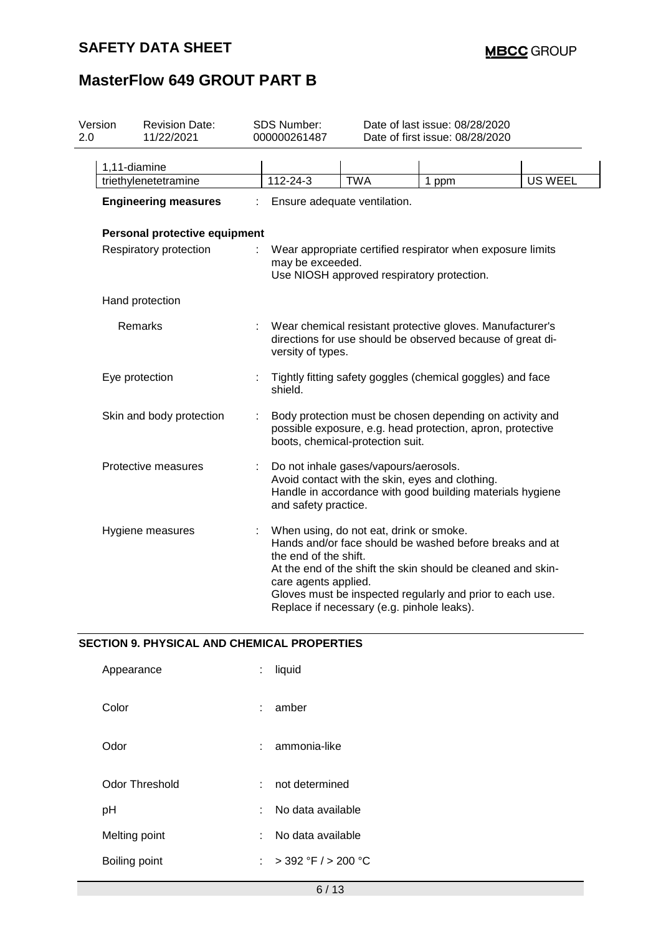# **SAFETY DATA SHEET**

# **MasterFlow 649 GROUT PART B**

| Version<br>2.0 | SDS Number:<br><b>Revision Date:</b><br>11/22/2021 |  | 000000261487                                                                                                                                               | Date of last issue: 08/28/2020<br>Date of first issue: 08/28/2020                     |                                                                                                                                                                                      |                |  |
|----------------|----------------------------------------------------|--|------------------------------------------------------------------------------------------------------------------------------------------------------------|---------------------------------------------------------------------------------------|--------------------------------------------------------------------------------------------------------------------------------------------------------------------------------------|----------------|--|
|                | 1,11-diamine                                       |  |                                                                                                                                                            |                                                                                       |                                                                                                                                                                                      |                |  |
|                | triethylenetetramine                               |  | 112-24-3                                                                                                                                                   | <b>TWA</b>                                                                            | 1 ppm                                                                                                                                                                                | <b>US WEEL</b> |  |
|                | <b>Engineering measures</b>                        |  |                                                                                                                                                            | Ensure adequate ventilation.                                                          |                                                                                                                                                                                      |                |  |
|                | Personal protective equipment                      |  |                                                                                                                                                            |                                                                                       |                                                                                                                                                                                      |                |  |
|                | Respiratory protection                             |  | Wear appropriate certified respirator when exposure limits<br>may be exceeded.<br>Use NIOSH approved respiratory protection.                               |                                                                                       |                                                                                                                                                                                      |                |  |
|                | Hand protection                                    |  |                                                                                                                                                            |                                                                                       |                                                                                                                                                                                      |                |  |
|                | Remarks                                            |  | Wear chemical resistant protective gloves. Manufacturer's<br>directions for use should be observed because of great di-<br>versity of types.               |                                                                                       |                                                                                                                                                                                      |                |  |
|                | Eye protection                                     |  | Tightly fitting safety goggles (chemical goggles) and face<br>shield.                                                                                      |                                                                                       |                                                                                                                                                                                      |                |  |
|                | Skin and body protection                           |  | Body protection must be chosen depending on activity and<br>possible exposure, e.g. head protection, apron, protective<br>boots, chemical-protection suit. |                                                                                       |                                                                                                                                                                                      |                |  |
|                | Protective measures                                |  | and safety practice.                                                                                                                                       | Do not inhale gases/vapours/aerosols.                                                 | Avoid contact with the skin, eyes and clothing.<br>Handle in accordance with good building materials hygiene                                                                         |                |  |
|                | Hygiene measures                                   |  | the end of the shift.<br>care agents applied.                                                                                                              | When using, do not eat, drink or smoke.<br>Replace if necessary (e.g. pinhole leaks). | Hands and/or face should be washed before breaks and at<br>At the end of the shift the skin should be cleaned and skin-<br>Gloves must be inspected regularly and prior to each use. |                |  |

#### **SECTION 9. PHYSICAL AND CHEMICAL PROPERTIES**

| Appearance     | t. | liquid                  |
|----------------|----|-------------------------|
| Color          | t. | amber                   |
| Odor           |    | ammonia-like            |
| Odor Threshold |    | not determined          |
| рH             | t. | No data available       |
| Melting point  | ۰. | No data available       |
| Boiling point  |    | $>$ 392 °F / $>$ 200 °C |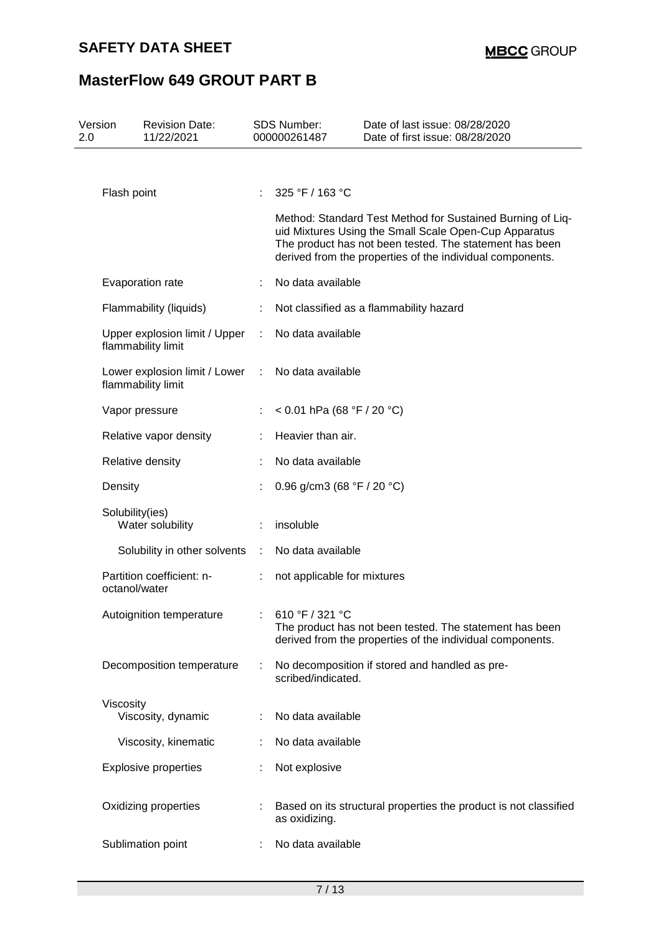| Version<br>2.0 | <b>Revision Date:</b><br>11/22/2021                 |           | <b>SDS Number:</b><br>000000261487           | Date of last issue: 08/28/2020<br>Date of first issue: 08/28/2020                                                                                                                                                                           |
|----------------|-----------------------------------------------------|-----------|----------------------------------------------|---------------------------------------------------------------------------------------------------------------------------------------------------------------------------------------------------------------------------------------------|
|                |                                                     |           |                                              |                                                                                                                                                                                                                                             |
|                | Flash point                                         | ÷         | 325 °F / 163 °C                              |                                                                                                                                                                                                                                             |
|                |                                                     |           |                                              | Method: Standard Test Method for Sustained Burning of Liq-<br>uid Mixtures Using the Small Scale Open-Cup Apparatus<br>The product has not been tested. The statement has been<br>derived from the properties of the individual components. |
|                | Evaporation rate                                    |           | No data available                            |                                                                                                                                                                                                                                             |
|                | Flammability (liquids)                              | ÷         |                                              | Not classified as a flammability hazard                                                                                                                                                                                                     |
|                | Upper explosion limit / Upper<br>flammability limit | ÷         | No data available                            |                                                                                                                                                                                                                                             |
|                | Lower explosion limit / Lower<br>flammability limit | ÷         | No data available                            |                                                                                                                                                                                                                                             |
|                | Vapor pressure                                      |           | < 0.01 hPa (68 °F / 20 °C)                   |                                                                                                                                                                                                                                             |
|                | Relative vapor density                              |           | Heavier than air.                            |                                                                                                                                                                                                                                             |
|                | Relative density                                    |           | No data available                            |                                                                                                                                                                                                                                             |
|                | Density                                             |           | 0.96 g/cm3 (68 $\degree$ F / 20 $\degree$ C) |                                                                                                                                                                                                                                             |
|                | Solubility(ies)<br>Water solubility                 |           | insoluble                                    |                                                                                                                                                                                                                                             |
|                | Solubility in other solvents                        | $\sim$ 1. | No data available                            |                                                                                                                                                                                                                                             |
|                | Partition coefficient: n-<br>octanol/water          |           | not applicable for mixtures                  |                                                                                                                                                                                                                                             |
|                | Autoignition temperature                            |           | 610 °F / 321 °C                              | The product has not been tested. The statement has been<br>derived from the properties of the individual components.                                                                                                                        |
|                | Decomposition temperature                           |           | scribed/indicated.                           | No decomposition if stored and handled as pre-                                                                                                                                                                                              |
|                | Viscosity<br>Viscosity, dynamic                     |           | No data available                            |                                                                                                                                                                                                                                             |
|                | Viscosity, kinematic                                |           | No data available                            |                                                                                                                                                                                                                                             |
|                | <b>Explosive properties</b>                         |           | Not explosive                                |                                                                                                                                                                                                                                             |
|                | Oxidizing properties                                |           | as oxidizing.                                | Based on its structural properties the product is not classified                                                                                                                                                                            |
|                | Sublimation point                                   |           | No data available                            |                                                                                                                                                                                                                                             |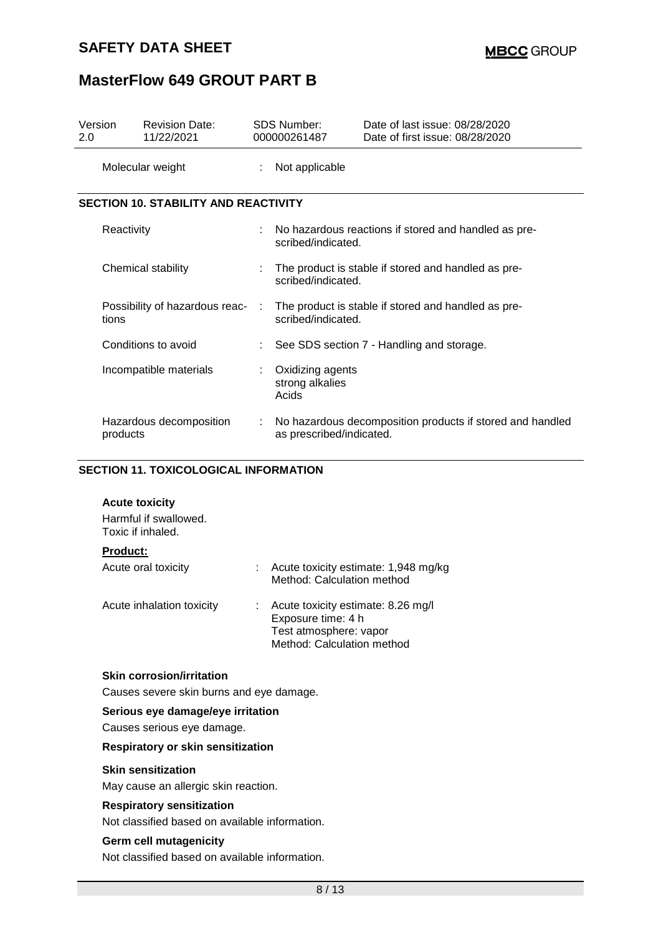## **SAFETY DATA SHEET**

# **MasterFlow 649 GROUT PART B**

| Version<br>2.0 |            | <b>Revision Date:</b><br>11/22/2021         |   | SDS Number:<br>000000261487                                               | Date of last issue: 08/28/2020<br>Date of first issue: 08/28/2020 |
|----------------|------------|---------------------------------------------|---|---------------------------------------------------------------------------|-------------------------------------------------------------------|
|                |            | Molecular weight                            | ÷ | Not applicable                                                            |                                                                   |
|                |            | <b>SECTION 10. STABILITY AND REACTIVITY</b> |   |                                                                           |                                                                   |
|                | Reactivity |                                             |   | scribed/indicated.                                                        | No hazardous reactions if stored and handled as pre-              |
|                |            | Chemical stability                          | ÷ | The product is stable if stored and handled as pre-<br>scribed/indicated. |                                                                   |
|                | tions      | Possibility of hazardous reac-              |   | The product is stable if stored and handled as pre-<br>scribed/indicated. |                                                                   |
|                |            | Conditions to avoid                         |   |                                                                           | See SDS section 7 - Handling and storage.                         |
|                |            | Incompatible materials                      | ÷ | Oxidizing agents<br>strong alkalies<br>Acids                              |                                                                   |
|                | products   | Hazardous decomposition                     | ÷ | as prescribed/indicated.                                                  | No hazardous decomposition products if stored and handled         |

### **SECTION 11. TOXICOLOGICAL INFORMATION**

|  | <b>Acute toxicity</b> |
|--|-----------------------|
|--|-----------------------|

| Harmful if swallowed.<br>Toxic if inhaled. |                                                                                                                  |
|--------------------------------------------|------------------------------------------------------------------------------------------------------------------|
| <b>Product:</b>                            |                                                                                                                  |
| Acute oral toxicity                        | Acute toxicity estimate: 1,948 mg/kg<br>Method: Calculation method                                               |
| Acute inhalation toxicity                  | Acute toxicity estimate: 8.26 mg/l<br>Exposure time: 4 h<br>Test atmosphere: vapor<br>Method: Calculation method |

## **Skin corrosion/irritation**

Causes severe skin burns and eye damage.

#### **Serious eye damage/eye irritation**

Causes serious eye damage.

#### **Respiratory or skin sensitization**

#### **Skin sensitization**

May cause an allergic skin reaction.

#### **Respiratory sensitization**

Not classified based on available information.

#### **Germ cell mutagenicity**

Not classified based on available information.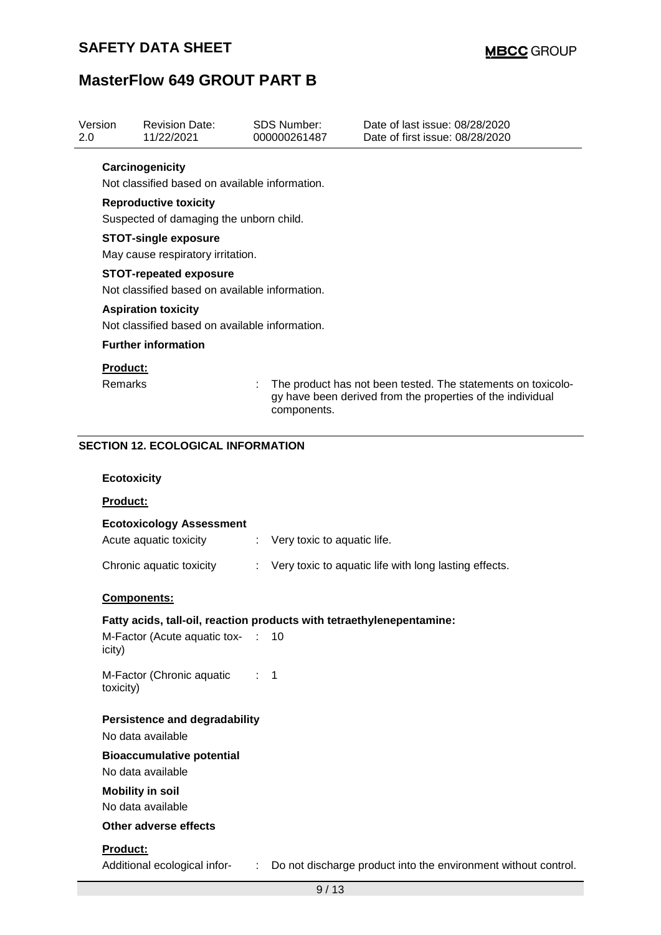| Version<br>2.0     |                                                                                 | <b>Revision Date:</b><br>11/22/2021                                   |    | <b>SDS Number:</b><br>000000261487 | Date of last issue: 08/28/2020<br>Date of first issue: 08/28/2020                                                          |  |  |  |  |
|--------------------|---------------------------------------------------------------------------------|-----------------------------------------------------------------------|----|------------------------------------|----------------------------------------------------------------------------------------------------------------------------|--|--|--|--|
|                    | Carcinogenicity                                                                 |                                                                       |    |                                    |                                                                                                                            |  |  |  |  |
|                    | Not classified based on available information.                                  |                                                                       |    |                                    |                                                                                                                            |  |  |  |  |
|                    | <b>Reproductive toxicity</b>                                                    |                                                                       |    |                                    |                                                                                                                            |  |  |  |  |
|                    | Suspected of damaging the unborn child.                                         |                                                                       |    |                                    |                                                                                                                            |  |  |  |  |
|                    | <b>STOT-single exposure</b>                                                     |                                                                       |    |                                    |                                                                                                                            |  |  |  |  |
|                    | May cause respiratory irritation.                                               |                                                                       |    |                                    |                                                                                                                            |  |  |  |  |
|                    | <b>STOT-repeated exposure</b><br>Not classified based on available information. |                                                                       |    |                                    |                                                                                                                            |  |  |  |  |
|                    |                                                                                 | <b>Aspiration toxicity</b>                                            |    |                                    |                                                                                                                            |  |  |  |  |
|                    |                                                                                 | Not classified based on available information.                        |    |                                    |                                                                                                                            |  |  |  |  |
|                    |                                                                                 | <b>Further information</b>                                            |    |                                    |                                                                                                                            |  |  |  |  |
|                    | <b>Product:</b>                                                                 |                                                                       |    |                                    |                                                                                                                            |  |  |  |  |
|                    | <b>Remarks</b>                                                                  |                                                                       |    | components.                        | The product has not been tested. The statements on toxicolo-<br>gy have been derived from the properties of the individual |  |  |  |  |
|                    |                                                                                 |                                                                       |    |                                    |                                                                                                                            |  |  |  |  |
|                    |                                                                                 | <b>SECTION 12. ECOLOGICAL INFORMATION</b>                             |    |                                    |                                                                                                                            |  |  |  |  |
| <b>Ecotoxicity</b> |                                                                                 |                                                                       |    |                                    |                                                                                                                            |  |  |  |  |
| <b>Product:</b>    |                                                                                 |                                                                       |    |                                    |                                                                                                                            |  |  |  |  |
|                    |                                                                                 | <b>Ecotoxicology Assessment</b>                                       |    |                                    |                                                                                                                            |  |  |  |  |
|                    |                                                                                 | Acute aquatic toxicity                                                |    | Very toxic to aquatic life.        |                                                                                                                            |  |  |  |  |
|                    |                                                                                 | Chronic aquatic toxicity                                              |    |                                    | Very toxic to aquatic life with long lasting effects.                                                                      |  |  |  |  |
|                    |                                                                                 | <b>Components:</b>                                                    |    |                                    |                                                                                                                            |  |  |  |  |
|                    |                                                                                 | Fatty acids, tall-oil, reaction products with tetraethylenepentamine: |    |                                    |                                                                                                                            |  |  |  |  |
|                    | icity)                                                                          | M-Factor (Acute aquatic tox-                                          |    | 10                                 |                                                                                                                            |  |  |  |  |
|                    | toxicity)                                                                       | M-Factor (Chronic aquatic                                             |    | 1                                  |                                                                                                                            |  |  |  |  |
|                    |                                                                                 | <b>Persistence and degradability</b><br>No data available             |    |                                    |                                                                                                                            |  |  |  |  |
|                    |                                                                                 | <b>Bioaccumulative potential</b>                                      |    |                                    |                                                                                                                            |  |  |  |  |
|                    |                                                                                 | No data available                                                     |    |                                    |                                                                                                                            |  |  |  |  |
|                    |                                                                                 | <b>Mobility in soil</b>                                               |    |                                    |                                                                                                                            |  |  |  |  |
|                    |                                                                                 | No data available                                                     |    |                                    |                                                                                                                            |  |  |  |  |
|                    |                                                                                 | <b>Other adverse effects</b>                                          |    |                                    |                                                                                                                            |  |  |  |  |
|                    | Product:                                                                        |                                                                       |    |                                    |                                                                                                                            |  |  |  |  |
|                    |                                                                                 | Additional ecological infor-                                          | t. |                                    | Do not discharge product into the environment without control.                                                             |  |  |  |  |
|                    |                                                                                 |                                                                       |    | 9/13                               |                                                                                                                            |  |  |  |  |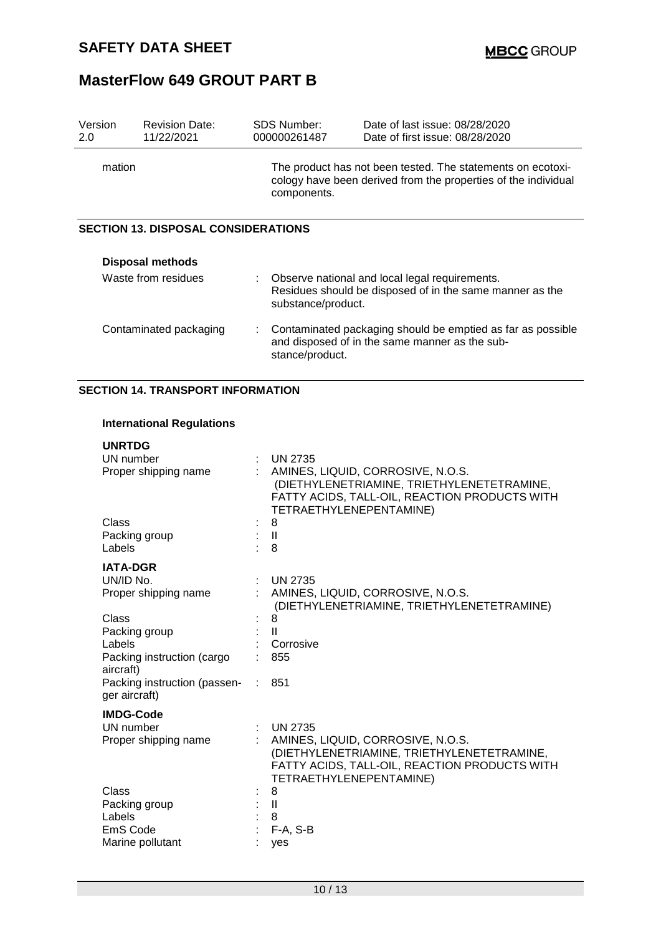| Version<br>2.0         | <b>Revision Date:</b><br>11/22/2021        |                                                                                                                                              | SDS Number:<br>000000261487                                                                                                      | Date of last issue: 08/28/2020<br>Date of first issue: 08/28/2020 |  |
|------------------------|--------------------------------------------|----------------------------------------------------------------------------------------------------------------------------------------------|----------------------------------------------------------------------------------------------------------------------------------|-------------------------------------------------------------------|--|
| mation                 |                                            | The product has not been tested. The statements on ecotoxi-<br>cology have been derived from the properties of the individual<br>components. |                                                                                                                                  |                                                                   |  |
|                        | <b>SECTION 13. DISPOSAL CONSIDERATIONS</b> |                                                                                                                                              |                                                                                                                                  |                                                                   |  |
|                        | <b>Disposal methods</b>                    |                                                                                                                                              |                                                                                                                                  |                                                                   |  |
| Waste from residues    |                                            |                                                                                                                                              | Observe national and local legal requirements.<br>Residues should be disposed of in the same manner as the<br>substance/product. |                                                                   |  |
| Contaminated packaging |                                            | ÷                                                                                                                                            | Contaminated packaging should be emptied as far as possible<br>and disposed of in the same manner as the sub-<br>stance/product. |                                                                   |  |

## **SECTION 14. TRANSPORT INFORMATION**

#### **International Regulations**

| <b>UNRTDG</b>                                 |                                                                                                                                                             |
|-----------------------------------------------|-------------------------------------------------------------------------------------------------------------------------------------------------------------|
| UN number                                     | <b>UN 2735</b>                                                                                                                                              |
| Proper shipping name                          | AMINES, LIQUID, CORROSIVE, N.O.S.<br>(DIETHYLENETRIAMINE, TRIETHYLENETETRAMINE,<br>FATTY ACIDS, TALL-OIL, REACTION PRODUCTS WITH<br>TETRAETHYLENEPENTAMINE) |
| Class                                         | 8                                                                                                                                                           |
| Packing group                                 | $\mathbf{I}$                                                                                                                                                |
| Labels                                        | 8                                                                                                                                                           |
| <b>IATA-DGR</b>                               |                                                                                                                                                             |
| UN/ID No.                                     | <b>UN 2735</b>                                                                                                                                              |
| Proper shipping name                          | AMINES, LIQUID, CORROSIVE, N.O.S.<br>(DIETHYLENETRIAMINE, TRIETHYLENETETRAMINE)                                                                             |
| Class                                         | 8                                                                                                                                                           |
| Packing group                                 | $\mathbf{H}$                                                                                                                                                |
| Labels                                        | Corrosive                                                                                                                                                   |
| Packing instruction (cargo<br>aircraft)       | 855                                                                                                                                                         |
| Packing instruction (passen-<br>ger aircraft) | 851                                                                                                                                                         |
| <b>IMDG-Code</b>                              |                                                                                                                                                             |
| UN number                                     | <b>UN 2735</b>                                                                                                                                              |
| Proper shipping name                          | AMINES, LIQUID, CORROSIVE, N.O.S.<br>(DIETHYLENETRIAMINE, TRIETHYLENETETRAMINE,<br>FATTY ACIDS, TALL-OIL, REACTION PRODUCTS WITH<br>TETRAETHYLENEPENTAMINE) |
| Class                                         | 8                                                                                                                                                           |
| Packing group                                 | $\mathbf{I}$                                                                                                                                                |
| Labels                                        | 8                                                                                                                                                           |
| EmS Code                                      | $F-A, S-B$                                                                                                                                                  |
| Marine pollutant                              | yes                                                                                                                                                         |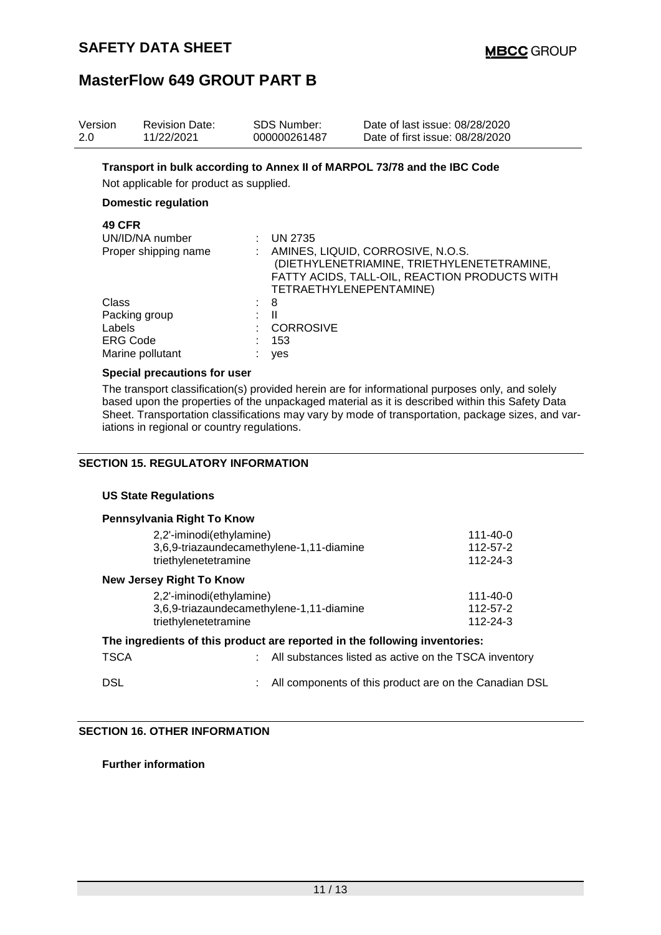| Version<br>2.0  | <b>Revision Date:</b><br>11/22/2021                                   | <b>SDS Number:</b><br>000000261487                  | Date of last issue: 08/28/2020<br>Date of first issue: 08/28/2020                                                                                           |
|-----------------|-----------------------------------------------------------------------|-----------------------------------------------------|-------------------------------------------------------------------------------------------------------------------------------------------------------------|
|                 | Not applicable for product as supplied.<br><b>Domestic regulation</b> |                                                     | Transport in bulk according to Annex II of MARPOL 73/78 and the IBC Code                                                                                    |
| <b>49 CFR</b>   | UN/ID/NA number<br>Proper shipping name                               | : UN 2735                                           | AMINES, LIQUID, CORROSIVE, N.O.S.<br>(DIETHYLENETRIAMINE, TRIETHYLENETETRAMINE,<br>FATTY ACIDS, TALL-OIL, REACTION PRODUCTS WITH<br>TETRAETHYLENEPENTAMINE) |
| Class<br>Labels | Packing group<br><b>ERG Code</b><br>Marine pollutant                  | 8<br>$\mathbf{H}$<br><b>CORROSIVE</b><br>153<br>yes |                                                                                                                                                             |

#### **Special precautions for user**

The transport classification(s) provided herein are for informational purposes only, and solely based upon the properties of the unpackaged material as it is described within this Safety Data Sheet. Transportation classifications may vary by mode of transportation, package sizes, and variations in regional or country regulations.

#### **SECTION 15. REGULATORY INFORMATION**

#### **US State Regulations**

| Pennsylvania Right To Know                                                                   |                                        |
|----------------------------------------------------------------------------------------------|----------------------------------------|
| 2,2'-iminodi(ethylamine)<br>3,6,9-triazaundecamethylene-1,11-diamine<br>triethylenetetramine | 111-40-0<br>112-57-2<br>112-24-3       |
| <b>New Jersey Right To Know</b>                                                              |                                        |
| 2,2'-iminodi(ethylamine)<br>3,6,9-triazaundecamethylene-1,11-diamine<br>triethylenetetramine | $111 - 40 - 0$<br>112-57-2<br>112-24-3 |
| The ingredients of this product are reported in the following inventories:                   |                                        |

# TSCA : All substances listed as active on the TSCA inventory DSL DSL **DEFILE 2018**: All components of this product are on the Canadian DSL

**SECTION 16. OTHER INFORMATION**

**Further information**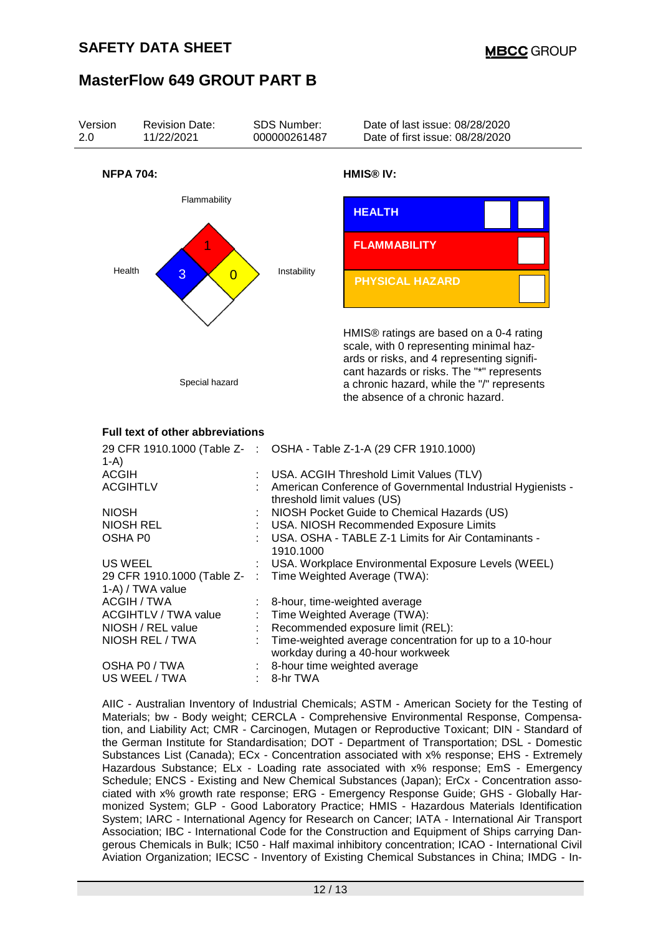

AIIC - Australian Inventory of Industrial Chemicals; ASTM - American Society for the Testing of Materials; bw - Body weight; CERCLA - Comprehensive Environmental Response, Compensation, and Liability Act; CMR - Carcinogen, Mutagen or Reproductive Toxicant; DIN - Standard of the German Institute for Standardisation; DOT - Department of Transportation; DSL - Domestic Substances List (Canada); ECx - Concentration associated with x% response; EHS - Extremely Hazardous Substance; ELx - Loading rate associated with x% response; EmS - Emergency Schedule; ENCS - Existing and New Chemical Substances (Japan); ErCx - Concentration associated with x% growth rate response; ERG - Emergency Response Guide; GHS - Globally Harmonized System; GLP - Good Laboratory Practice; HMIS - Hazardous Materials Identification System; IARC - International Agency for Research on Cancer; IATA - International Air Transport Association; IBC - International Code for the Construction and Equipment of Ships carrying Dangerous Chemicals in Bulk; IC50 - Half maximal inhibitory concentration; ICAO - International Civil Aviation Organization; IECSC - Inventory of Existing Chemical Substances in China; IMDG - In-